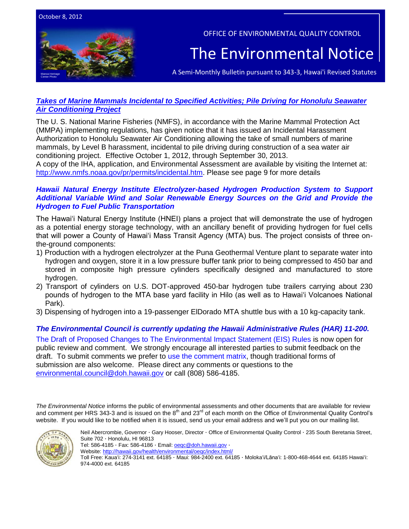

OFFICE OF ENVIRONMENTAL QUALITY CONTROL

# The Environmental Notice

A Semi-Monthly Bulletin pursuant to 343-3, Hawai'i Revised Statutes

## *[Takes of Marine Mammals Incidental to Specified Activities; Pile Driving for Honolulu Seawater](http://www.gpo.gov/fdsys/pkg/FR-2012-10-01/pdf/2012-24155.pdf)  [Air Conditioning Project](http://www.gpo.gov/fdsys/pkg/FR-2012-10-01/pdf/2012-24155.pdf)*

The U. S. National Marine Fisheries (NMFS), in accordance with the Marine Mammal Protection Act (MMPA) implementing regulations, has given notice that it has issued an Incidental Harassment Authorization to Honolulu Seawater Air Conditioning allowing the take of small numbers of marine mammals, by Level B harassment, incidental to pile driving during construction of a sea water air conditioning project. Effective October 1, 2012, through September 30, 2013. A copy of the IHA, application, and Environmental Assessment are available by visiting the Internet at: [http://www.nmfs.noaa.gov/pr/permits/incidental.htm.](http://www.nmfs.noaa.gov/pr/permits/incidental.htm) Please see page 9 for more details

## *[Hawaii Natural Energy Institute Electrolyzer-based Hydrogen Production System to Support](http://oeqc.doh.hawaii.gov/Shared%20Documents/EA_and_EIS_Online_Library/Hawaii/2010s/2012-10-08-DEA-Hawaii-Natural-Energy-Institute-Electrolyzer-Based-Hydrogen-Production-System.pdf)  [Additional Variable Wind and Solar Renewable Energy Sources on the Grid and Provide the](http://oeqc.doh.hawaii.gov/Shared%20Documents/EA_and_EIS_Online_Library/Hawaii/2010s/2012-10-08-DEA-Hawaii-Natural-Energy-Institute-Electrolyzer-Based-Hydrogen-Production-System.pdf)  [Hydrogen to Fuel Public Transportation](http://oeqc.doh.hawaii.gov/Shared%20Documents/EA_and_EIS_Online_Library/Hawaii/2010s/2012-10-08-DEA-Hawaii-Natural-Energy-Institute-Electrolyzer-Based-Hydrogen-Production-System.pdf)*

The Hawai'i Natural Energy Institute (HNEI) plans a project that will demonstrate the use of hydrogen as a potential energy storage technology, with an ancillary benefit of providing hydrogen for fuel cells that will power a County of Hawai'i Mass Transit Agency (MTA) bus. The project consists of three onthe-ground components:

- 1) Production with a hydrogen electrolyzer at the Puna Geothermal Venture plant to separate water into hydrogen and oxygen, store it in a low pressure buffer tank prior to being compressed to 450 bar and stored in composite high pressure cylinders specifically designed and manufactured to store hydrogen.
- 2) Transport of cylinders on U.S. DOT-approved 450-bar hydrogen tube trailers carrying about 230 pounds of hydrogen to the MTA base yard facility in Hilo (as well as to Hawai'i Volcanoes National Park).
- 3) Dispensing of hydrogen into a 19-passenger ElDorado MTA shuttle bus with a 10 kg-capacity tank.

## *The Environmental Council is currently updating the Hawaii Administrative Rules (HAR) 11-200.*

The Draft of Proposed Changes [to The Environmental Impact Statement \(EIS\) Rules](http://oeqc.doh.hawaii.gov/Shared%20Documents/Draft%20Rules%20Revisions%20(Chapter%2011-200,%20Hawaii%20Administrative%20Rules)%20and%20Comment%20Form/Draft%20HAR%2011-200%20EIS%20Rules%208.16.2012.pdf) is now open for public review and comment. We strongly encourage all interested parties to submit feedback on the draft. To submit comments we prefer to [use the comment matrix,](http://oeqc.doh.hawaii.gov/Shared%20Documents/Forms/AllItems.aspx?RootFolder=%2fShared%20Documents%2fDraft%20Rules%20Revisions%20%28Chapter%2011%2d200%2c%20Hawaii%20Administrative%20Rules%29%20and%20Comment%20Form&View=%7bC0C5C897%2d3066%2d4821%2d864E%2d36FB3D77F5D5%7d) though traditional forms of submission are also welcome. Please direct any comments or questions to the [environmental.council@doh.hawaii.gov](mailto:environmental.council@doh.hawaii.gov) or call (808) 586-4185.

*The Environmental Notice* informs the public of environmental assessments and other documents that are available for review and comment per HRS 343-3 and is issued on the 8<sup>th</sup> and 23<sup>rd</sup> of each month on the Office of Environmental Quality Control's website. If you would like to be notified when it is issued, send us your email address and we'll put you on our mailing list.



Neil Abercrombie, Governor · Gary Hooser, Director · Office of Environmental Quality Control · 235 South Beretania Street, Suite 702 · Honolulu, HI 96813

Tel: 586-4185 · Fax: 586-4186 · Email: **oegc@doh.hawaii.gov** ·

Website:<http://hawaii.gov/health/environmental/oeqc/index.html/>

Toll Free: Kauaʻi: 274-3141 ext. 64185 · Maui: 984-2400 ext. 64185 · Molokaʻi/Lānaʻi: 1-800-468-4644 ext. 64185 Hawaiʻi: 974-4000 ext. 64185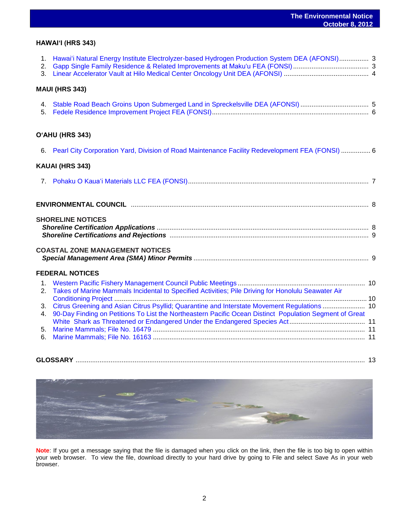## **HAWAIʻI (HRS 343)**

| 2.                   | 1. Hawai'i Natural Energy Institute Electrolyzer-based Hydrogen Production System DEA (AFONSI) 3        |  |
|----------------------|---------------------------------------------------------------------------------------------------------|--|
|                      | <b>MAUI (HRS 343)</b>                                                                                   |  |
|                      |                                                                                                         |  |
|                      | O'AHU (HRS 343)                                                                                         |  |
|                      | 6. Pearl City Corporation Yard, Division of Road Maintenance Facility Redevelopment FEA (FONSI)  6      |  |
|                      | KAUAI (HRS 343)                                                                                         |  |
|                      |                                                                                                         |  |
|                      |                                                                                                         |  |
|                      | <b>SHORELINE NOTICES</b>                                                                                |  |
|                      | <b>COASTAL ZONE MANAGEMENT NOTICES</b>                                                                  |  |
|                      | <b>FEDERAL NOTICES</b>                                                                                  |  |
| 2.                   | Takes of Marine Mammals Incidental to Specified Activities; Pile Driving for Honolulu Seawater Air      |  |
| 3 <sub>1</sub><br>4. | 90-Day Finding on Petitions To List the Northeastern Pacific Ocean Distinct Population Segment of Great |  |
|                      |                                                                                                         |  |
| 6.                   |                                                                                                         |  |

**GLOSSARY** ............................................................................................................................................................. 13



**Note**: If you get a message saying that the file is damaged when you click on the link, then the file is too big to open within your web browser. To view the file, download directly to your hard drive by going to File and select Save As in your web browser.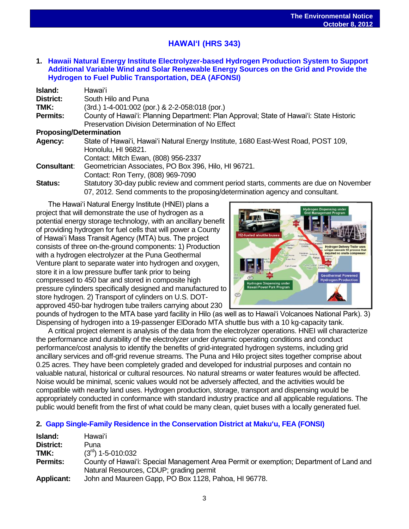## **HAWAIʻI (HRS 343)**

**1. [Hawaii Natural Energy Institute Electrolyzer-based Hydrogen Production System to Support](http://oeqc.doh.hawaii.gov/Shared%20Documents/EA_and_EIS_Online_Library/Hawaii/2010s/2012-10-08-DEA-Hawaii-Natural-Energy-Institute-Electrolyzer-Based-Hydrogen-Production-System.pdf)  [Additional Variable Wind and Solar Renewable Energy Sources on the Grid and Provide the](http://oeqc.doh.hawaii.gov/Shared%20Documents/EA_and_EIS_Online_Library/Hawaii/2010s/2012-10-08-DEA-Hawaii-Natural-Energy-Institute-Electrolyzer-Based-Hydrogen-Production-System.pdf)  [Hydrogen to Fuel Public Transportation,](http://oeqc.doh.hawaii.gov/Shared%20Documents/EA_and_EIS_Online_Library/Hawaii/2010s/2012-10-08-DEA-Hawaii-Natural-Energy-Institute-Electrolyzer-Based-Hydrogen-Production-System.pdf) DEA (AFONSI)**

| Island:            | Hawaiʻi                                                                                                   |  |  |  |  |  |
|--------------------|-----------------------------------------------------------------------------------------------------------|--|--|--|--|--|
| District:          | South Hilo and Puna                                                                                       |  |  |  |  |  |
| TMK:               | (3rd.) 1-4-001:002 (por.) & 2-2-058:018 (por.)                                                            |  |  |  |  |  |
| <b>Permits:</b>    | County of Hawai'i: Planning Department: Plan Approval; State of Hawai'i: State Historic                   |  |  |  |  |  |
|                    | Preservation Division Determination of No Effect                                                          |  |  |  |  |  |
|                    | <b>Proposing/Determination</b>                                                                            |  |  |  |  |  |
| Agency:            | State of Hawai'i, Hawai'i Natural Energy Institute, 1680 East-West Road, POST 109,<br>Honolulu, HI 96821. |  |  |  |  |  |
|                    | Contact: Mitch Ewan, (808) 956-2337                                                                       |  |  |  |  |  |
| <b>Consultant:</b> | Geometrician Associates, PO Box 396, Hilo, HI 96721.                                                      |  |  |  |  |  |
|                    | Contact: Ron Terry, (808) 969-7090                                                                        |  |  |  |  |  |
|                    |                                                                                                           |  |  |  |  |  |

**Status:** Statutory 30-day public review and comment period starts, comments are due on November 07, 2012. Send comments to the proposing/determination agency and consultant.

The Hawai'i Natural Energy Institute (HNEI) plans a project that will demonstrate the use of hydrogen as a potential energy storage technology, with an ancillary benefit of providing hydrogen for fuel cells that will power a County of Hawai'i Mass Transit Agency (MTA) bus. The project consists of three on-the-ground components: 1) Production with a hydrogen electrolyzer at the Puna Geothermal Venture plant to separate water into hydrogen and oxygen, store it in a low pressure buffer tank prior to being compressed to 450 bar and stored in composite high pressure cylinders specifically designed and manufactured to store hydrogen. 2) Transport of cylinders on U.S. DOTapproved 450-bar hydrogen tube trailers carrying about 230



pounds of hydrogen to the MTA base yard facility in Hilo (as well as to Hawai'i Volcanoes National Park). 3) Dispensing of hydrogen into a 19-passenger ElDorado MTA shuttle bus with a 10 kg-capacity tank.

A critical project element is analysis of the data from the electrolyzer operations. HNEI will characterize the performance and durability of the electrolyzer under dynamic operating conditions and conduct performance/cost analysis to identify the benefits of grid-integrated hydrogen systems, including grid ancillary services and off-grid revenue streams. The Puna and Hilo project sites together comprise about 0.25 acres. They have been completely graded and developed for industrial purposes and contain no valuable natural, historical or cultural resources. No natural streams or water features would be affected. Noise would be minimal, scenic values would not be adversely affected, and the activities would be compatible with nearby land uses. Hydrogen production, storage, transport and dispensing would be appropriately conducted in conformance with standard industry practice and all applicable regulations. The public would benefit from the first of what could be many clean, quiet buses with a locally generated fuel.

## **2. [Gapp Single-Family Residence in the Conservation District at Makuʻu,](http://oeqc.doh.hawaii.gov/Shared%20Documents/EA_and_EIS_Online_Library/Hawaii/2010s/2012-10-08-FEA-Gapp-Single-Family-Residence-At-Makuu.pdf) FEA (FONSI)**

| Island:           | Hawaiʻi                                                                                         |
|-------------------|-------------------------------------------------------------------------------------------------|
| District:         | Puna                                                                                            |
| TMK:              | $(3rd)$ 1-5-010:032                                                                             |
| <b>Permits:</b>   | County of Hawai'i: Special Management Area Permit or exemption; Department of Land and          |
| <b>Applicant:</b> | Natural Resources, CDUP; grading permit<br>John and Maureen Gapp, PO Box 1128, Pahoa, HI 96778. |
|                   |                                                                                                 |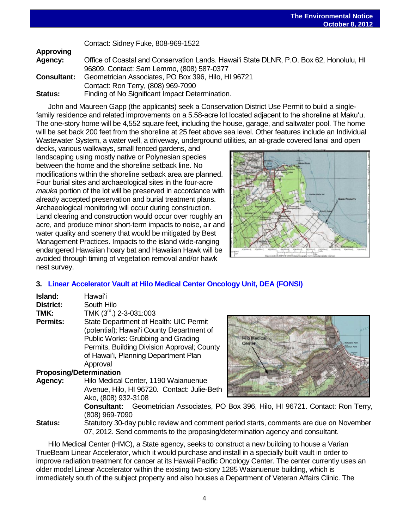Contact: Sidney Fuke, 808-969-1522

| <b>Approving</b>   |                                                                                         |
|--------------------|-----------------------------------------------------------------------------------------|
| Agency:            | Office of Coastal and Conservation Lands. Hawai'i State DLNR, P.O. Box 62, Honolulu, HI |
|                    | 96809. Contact: Sam Lemmo, (808) 587-0377                                               |
| <b>Consultant:</b> | Geometrician Associates, PO Box 396, Hilo, HI 96721                                     |
|                    | Contact: Ron Terry, (808) 969-7090                                                      |
| <b>Status:</b>     | Finding of No Significant Impact Determination.                                         |

John and Maureen Gapp (the applicants) seek a Conservation District Use Permit to build a singlefamily residence and related improvements on a 5.58-acre lot located adjacent to the shoreline at Maku'u. The one-story home will be 4,552 square feet, including the house, garage, and saltwater pool. The home will be set back 200 feet from the shoreline at 25 feet above sea level. Other features include an Individual Wastewater System, a water well, a driveway, underground utilities, an at-grade covered lanai and open

decks, various walkways, small fenced gardens, and landscaping using mostly native or Polynesian species between the home and the shoreline setback line. No modifications within the shoreline setback area are planned. Four burial sites and archaeological sites in the four-acre *mauka* portion of the lot will be preserved in accordance with already accepted preservation and burial treatment plans. Archaeological monitoring will occur during construction. Land clearing and construction would occur over roughly an acre, and produce minor short-term impacts to noise, air and water quality and scenery that would be mitigated by Best Management Practices. Impacts to the island wide-ranging endangered Hawaiian hoary bat and Hawaiian Hawk will be avoided through timing of vegetation removal and/or hawk nest survey.



## **3. Linear Accelerator Vault at Hilo [Medical Center Oncology Unit, DEA \(FONSI\)](http://oeqc.doh.hawaii.gov/Shared%20Documents/EA_and_EIS_Online_Library/Hawaii/2010s/2012-10-08-DEA-Linear-Accelerator-Vault-at-Hilo-Medical-Center-Oncology-Unit.pdf)**

| Island:          | Hawaiʻi                                                                                                                                                                                                                      |
|------------------|------------------------------------------------------------------------------------------------------------------------------------------------------------------------------------------------------------------------------|
| <b>District:</b> | South Hilo                                                                                                                                                                                                                   |
| TMK:             | TMK $(3^{\text{rd}})$ 2-3-031:003                                                                                                                                                                                            |
| <b>Permits:</b>  | State Department of Health: UIC Permit<br>(potential); Hawai'i County Department of<br>Public Works: Grubbing and Grading<br>Permits, Building Division Approval; County<br>of Hawai'i, Planning Department Plan<br>Approval |

## **Proposing/Determination**

**Agency:** Hilo Medical Center, 1190 Waianuenue Avenue, Hilo, HI 96720. Contact: Julie-Beth Ako, (808) 932-3108



**Consultant:** Geometrician Associates, PO Box 396, Hilo, HI 96721. Contact: Ron Terry, (808) 969-7090

**Status:** Statutory 30-day public review and comment period starts, comments are due on November 07, 2012. Send comments to the proposing/determination agency and consultant.

Hilo Medical Center (HMC), a State agency, seeks to construct a new building to house a Varian TrueBeam Linear Accelerator, which it would purchase and install in a specially built vault in order to improve radiation treatment for cancer at its Hawaii Pacific Oncology Center. The center currently uses an older model Linear Accelerator within the existing two-story 1285 Waianuenue building, which is immediately south of the subject property and also houses a Department of Veteran Affairs Clinic. The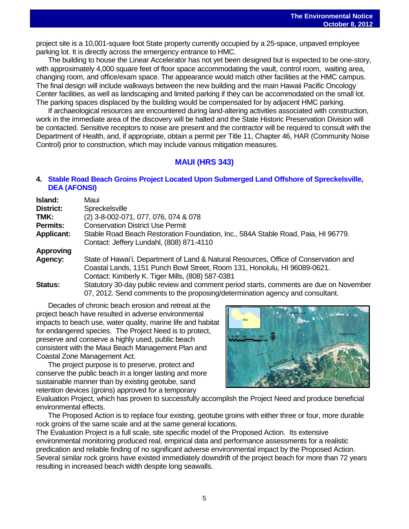project site is a 10,001-square foot State property currently occupied by a 25-space, unpaved employee parking lot. It is directly across the emergency entrance to HMC.

The building to house the Linear Accelerator has not yet been designed but is expected to be one-story, with approximately 4,000 square feet of floor space accommodating the vault, control room, waiting area, changing room, and office/exam space. The appearance would match other facilities at the HMC campus. The final design will include walkways between the new building and the main Hawaii Pacific Oncology Center facilities, as well as landscaping and limited parking if they can be accommodated on the small lot. The parking spaces displaced by the building would be compensated for by adjacent HMC parking.

If archaeological resources are encountered during land-altering activities associated with construction, work in the immediate area of the discovery will be halted and the State Historic Preservation Division will be contacted. Sensitive receptors to noise are present and the contractor will be required to consult with the Department of Health, and, if appropriate, obtain a permit per Title 11, Chapter 46, HAR (Community Noise Control) prior to construction, which may include various mitigation measures.

## **MAUI (HRS 343)**

## **4. [Stable Road Beach Groins Project Located Upon Submerged Land Offshore of Spreckelsville,](http://oeqc.doh.hawaii.gov/Shared%20Documents/EA_and_EIS_Online_Library/Maui/2010s/2012-10-08-DEA-Stable-Road-Beach-Groins-On-Submerged-Land-in-Spreckelsville.pdf) [DEA \(AFONSI\)](http://oeqc.doh.hawaii.gov/Shared%20Documents/EA_and_EIS_Online_Library/Maui/2010s/2012-10-08-DEA-Stable-Road-Beach-Groins-On-Submerged-Land-in-Spreckelsville.pdf)**

| Island:           | Maui                                                                                   |
|-------------------|----------------------------------------------------------------------------------------|
| District:         | Spreckelsville                                                                         |
| TMK:              | (2) 3-8-002-071, 077, 076, 074 & 078                                                   |
| <b>Permits:</b>   | <b>Conservation District Use Permit</b>                                                |
| <b>Applicant:</b> | Stable Road Beach Restoration Foundation, Inc., 584A Stable Road, Paia, HI 96779.      |
|                   | Contact: Jeffery Lundahl, (808) 871-4110                                               |
| <b>Approving</b>  |                                                                                        |
| Agency:           | State of Hawai'i, Department of Land & Natural Resources, Office of Conservation and   |
|                   | Coastal Lands, 1151 Punch Bowl Street, Room 131, Honolulu, HI 96089-0621.              |
|                   | Contact: Kimberly K. Tiger Mills, (808) 587-0381                                       |
| Status:           | Statutory 30-day public review and comment period starts, comments are due on November |
|                   | 07, 2012. Send comments to the proposing/determination agency and consultant.          |

Decades of chronic beach erosion and retreat at the project beach have resulted in adverse environmental impacts to beach use, water quality, marine life and habitat for endangered species. The Project Need is to protect, preserve and conserve a highly used, public beach consistent with the Maui Beach Management Plan and Coastal Zone Management Act.

The project purpose is to preserve, protect and conserve the public beach in a longer lasting and more sustainable manner than by existing geotube, sand retention devices (groins) approved for a temporary



Evaluation Project, which has proven to successfully accomplish the Project Need and produce beneficial environmental effects.

The Proposed Action is to replace four existing, geotube groins with either three or four, more durable rock groins of the same scale and at the same general locations.

The Evaluation Project is a full scale, site specific model of the Proposed Action. Its extensive environmental monitoring produced real, empirical data and performance assessments for a realistic predication and reliable finding of no significant adverse environmental impact by the Proposed Action. Several similar rock groins have existed immediately downdrift of the project beach for more than 72 years resulting in increased beach width despite long seawalls.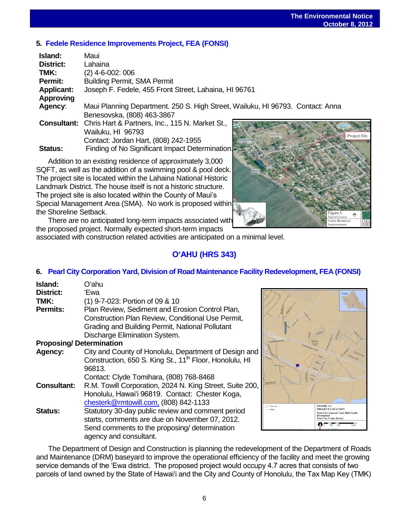## **5. [Fedele Residence Improvements Project,](http://oeqc.doh.hawaii.gov/Shared%20Documents/EA_and_EIS_Online_Library/Maui/2010s/2012-10-08-FEA-Fedele-Residence-Improvements-Project.pdf) FEA (FONSI)**

| Island:           | Maui                                                                           |
|-------------------|--------------------------------------------------------------------------------|
| <b>District:</b>  | Lahaina                                                                        |
| TMK:              | (2) 4-6-002: 006                                                               |
| Permit:           | <b>Building Permit, SMA Permit</b>                                             |
| <b>Applicant:</b> | Joseph F. Fedele, 455 Front Street, Lahaina, HI 96761                          |
| <b>Approving</b>  |                                                                                |
| Agency:           | Maui Planning Department. 250 S. High Street, Wailuku, HI 96793. Contact: Anna |
|                   | Benesovska, (808) 463-3867                                                     |
|                   | Consultant: Chris Hart & Partners, Inc., 115 N. Market St.,                    |
|                   | Wailuku, HI 96793<br>Proje                                                     |
|                   | Contact: Jordan Hart, (808) 242-1955                                           |
| <b>Status:</b>    | Finding of No Significant Impact Determination.                                |
|                   |                                                                                |

Addition to an existing residence of approximately 3,000 SQFT, as well as the addition of a swimming pool & pool deck. The project site is located within the Lahaina National Historic Landmark District. The house itself is not a historic structure. The project site is also located within the County of Maui's Special Management Area (SMA). No work is proposed within the Shoreline Setback.

There are no anticipated long-term impacts associated with the proposed project. Normally expected short-term impacts

associated with construction related activities are anticipated on a minimal level.

## **OʻAHU (HRS 343)**

## **6. [Pearl City Corporation Yard, Division of Road Maintenance Facility Redevelopment, FEA \(FONSI\)](http://oeqc.doh.hawaii.gov/Shared%20Documents/EA_and_EIS_Online_Library/Oahu/2010s/2012-10-08-FEA-Pearl-City-Corporation-Yard.pdf)**

| Island:<br>District:           | Oʻahu<br>'Ewa                                                                                        |
|--------------------------------|------------------------------------------------------------------------------------------------------|
| TMK:                           | (1) 9-7-023: Portion of 09 & 10                                                                      |
| <b>Permits:</b>                | Plan Review, Sediment and Erosion Control Plan,<br>Construction Plan Review, Conditional Use Permit, |
|                                | Grading and Building Permit, National Pollutant                                                      |
|                                | Discharge Elimination System.                                                                        |
| <b>Proposing/Determination</b> |                                                                                                      |
| Agency:                        | City and County of Honolulu, Department of Design and                                                |
|                                | Construction, 650 S. King St., 11 <sup>th</sup> Floor, Honolulu, HI                                  |
|                                | 96813.                                                                                               |
|                                | Contact: Clyde Tomihara, (808) 768-8468                                                              |
| <b>Consultant:</b>             | R.M. Towill Corporation, 2024 N. King Street, Suite 200,                                             |
|                                | Honolulu, Hawai'i 96819. Contact: Chester Koga,                                                      |
|                                | chesterk@rmtowill.com, (808) 842-1133                                                                |
| <b>Status:</b>                 | Statutory 30-day public review and comment period                                                    |
|                                | starts, comments are due on November 07, 2012.                                                       |
|                                | Send comments to the proposing/ determination                                                        |
|                                | agency and consultant.                                                                               |



The Department of Design and Construction is planning the redevelopment of the Department of Roads and Maintenance (DRM) baseyard to improve the operational efficiency of the facility and meet the growing service demands of the 'Ewa district. The proposed project would occupy 4.7 acres that consists of two parcels of land owned by the State of Hawai'i and the City and County of Honolulu, the Tax Map Key (TMK)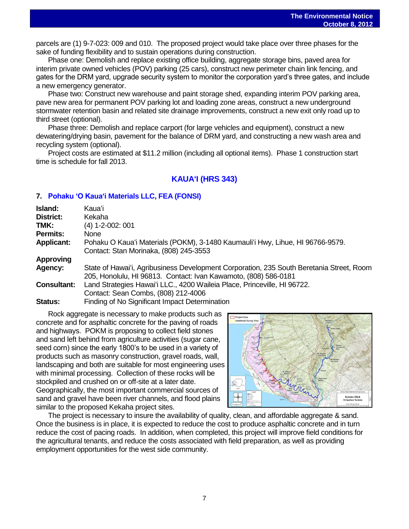parcels are (1) 9-7-023: 009 and 010. The proposed project would take place over three phases for the sake of funding flexibility and to sustain operations during construction.

Phase one: Demolish and replace existing office building, aggregate storage bins, paved area for interim private owned vehicles (POV) parking (25 cars), construct new perimeter chain link fencing, and gates for the DRM yard, upgrade security system to monitor the corporation yard's three gates, and include a new emergency generator.

Phase two: Construct new warehouse and paint storage shed, expanding interim POV parking area, pave new area for permanent POV parking lot and loading zone areas, construct a new underground stormwater retention basin and related site drainage improvements, construct a new exit only road up to third street (optional).

Phase three: Demolish and replace carport (for large vehicles and equipment), construct a new dewatering/drying basin, pavement for the balance of DRM yard, and constructing a new wash area and recycling system (optional).

Project costs are estimated at \$11.2 million (including all optional items). Phase 1 construction start time is schedule for fall 2013.

## **KAUAʻI (HRS 343)**

## **7. [Pohaku ʻO Kauaʻi Materials LLC, FEA \(FONSI\)](http://oeqc.doh.hawaii.gov/Shared%20Documents/EA_and_EIS_Online_Library/Kauai/2010s/2012-10-08-FEA-Pohaku-O-Kauai-Materials-LLC.pdf)**

| Island:<br><b>District:</b><br>TMK:<br><b>Permits:</b><br><b>Applicant:</b> | Kauaʻi<br>Kekaha<br>$(4)$ 1-2-002: 001<br><b>None</b><br>Pohaku O Kaua'i Materials (POKM), 3-1480 Kaumauli'i Hwy, Lihue, HI 96766-9579.<br>Contact: Stan Morinaka, (808) 245-3553                                                                                                                                                |
|-----------------------------------------------------------------------------|----------------------------------------------------------------------------------------------------------------------------------------------------------------------------------------------------------------------------------------------------------------------------------------------------------------------------------|
| Approving<br>Agency:<br><b>Consultant:</b><br><b>Status:</b>                | State of Hawai'i, Agribusiness Development Corporation, 235 South Beretania Street, Room<br>205, Honolulu, HI 96813. Contact: Ivan Kawamoto, (808) 586-0181<br>Land Strategies Hawai'i LLC., 4200 Waileia Place, Princeville, HI 96722.<br>Contact: Sean Combs, (808) 212-4006<br>Finding of No Significant Impact Determination |

Rock aggregate is necessary to make products such as concrete and for asphaltic concrete for the paving of roads and highways. POKM is proposing to collect field stones and sand left behind from agriculture activities (sugar cane, seed corn) since the early 1800's to be used in a variety of products such as masonry construction, gravel roads, wall, landscaping and both are suitable for most engineering uses with minimal processing. Collection of these rocks will be stockpiled and crushed on or off-site at a later date. Geographically, the most important commercial sources of sand and gravel have been river channels, and flood plains similar to the proposed Kekaha project sites.



The project is necessary to insure the availability of quality, clean, and affordable aggregate & sand. Once the business is in place, it is expected to reduce the cost to produce asphaltic concrete and in turn reduce the cost of pacing roads. In addition, when completed, this project will improve field conditions for the agricultural tenants, and reduce the costs associated with field preparation, as well as providing employment opportunities for the west side community.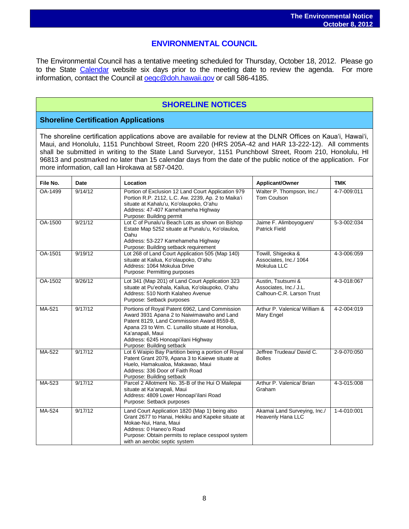## **ENVIRONMENTAL COUNCIL**

The Environmental Council has a tentative meeting scheduled for Thursday, October 18, 2012. Please go to the State [Calendar](http://calendar.ehawaii.gov/calendar/html/event) website six days prior to the meeting date to review the agenda. For more information, contact the Council at [oeqc@doh.hawaii.gov](mailto:oeqc@doh.hawaii.gov) or call 586-4185.

## **SHORELINE NOTICES**

## **Shoreline Certification Applications**

The shoreline certification applications above are available for review at the DLNR Offices on Kauaʻi, Hawaiʻi, Maui, and Honolulu, 1151 Punchbowl Street, Room 220 (HRS 205A-42 and HAR 13-222-12). All comments shall be submitted in writing to the State Land Surveyor, 1151 Punchbowl Street, Room 210, Honolulu, HI 96813 and postmarked no later than 15 calendar days from the date of the public notice of the application. For more information, call Ian Hirokawa at 587-0420.

| File No. | Date    | Location                                                                                                                                                                                                                                                                              | Applicant/Owner                                                           | <b>TMK</b>  |
|----------|---------|---------------------------------------------------------------------------------------------------------------------------------------------------------------------------------------------------------------------------------------------------------------------------------------|---------------------------------------------------------------------------|-------------|
| OA-1499  | 9/14/12 | Portion of Exclusion 12 Land Court Application 979<br>Portion R.P. 2112, L.C. Aw. 2239, Ap. 2 to Maika'i<br>situate at Kahalu'u, Ko'olaupoko, O'ahu<br>Address: 47-407 Kamehameha Highway<br>Purpose: Building permit                                                                 | Walter P. Thompson, Inc./<br>Tom Coulson                                  | 4-7-009:011 |
| OA-1500  | 9/21/12 | Lot C of Punalu'u Beach Lots as shown on Bishop<br>Estate Map 5252 situate at Punalu'u, Ko'olauloa,<br>Oahu<br>Address: 53-227 Kamehameha Highway<br>Purpose: Building setback requirement                                                                                            | Jaime F. Alimboyoguen/<br><b>Patrick Field</b>                            | 5-3-002:034 |
| OA-1501  | 9/19/12 | Lot 268 of Land Court Application 505 (Map 140)<br>situate at Kailua, Ko'olaupoko, O'ahu<br>Address: 1064 Mokulua Drive<br>Purpose: Permitting purposes                                                                                                                               | Towill, Shigeoka &<br>Associates, Inc./ 1064<br>Mokulua LLC               | 4-3-006:059 |
| OA-1502  | 9/26/12 | Lot 341 (Map 201) of Land Court Application 323<br>situate at Pu'eohala, Kailua, Ko'olaupoko, O'ahu<br>Address: 510 North Kalaheo Avenue<br>Purpose: Setback purposes                                                                                                                 | Austin, Tsutsumi &<br>Associates. Inc./ J.L.<br>Calhoun-C.R. Larson Trust | 4-3-018:067 |
| MA-521   | 9/17/12 | Portions of Royal Patent 6962, Land Commission<br>Award 3931 Apana 2 to Naiwimawaho and Land<br>Patent 8129, Land Commission Award 8559-B,<br>Apana 23 to Wm. C. Lunalilo situate at Honolua,<br>Ka'anapali, Maui<br>Address: 6245 Honoapi'ilani Highway<br>Purpose: Building setback | Arthur P. Valenica/ William &<br>Mary Engel                               | 4-2-004:019 |
| MA-522   | 9/17/12 | Lot 6 Waipio Bay Partition being a portion of Royal<br>Patent Grant 2079, Apana 3 to Kaiewe situate at<br>Huelo, Hamakualoa, Makawao, Maui<br>Address: 336 Door of Faith Road<br>Purpose: Building setback                                                                            | Jeffree Trudeau/ David C.<br><b>Bolles</b>                                | 2-9-070:050 |
| MA-523   | 9/17/12 | Parcel 2 Allotment No. 35-B of the Hui O Mailepai<br>situate at Ka'anapali, Maui<br>Address: 4809 Lower Honoapi'ilani Road<br>Purpose: Setback purposes                                                                                                                               | Arthur P. Valenica/ Brian<br>Graham                                       | 4-3-015:008 |
| MA-524   | 9/17/12 | Land Court Application 1820 (Map 1) being also<br>Grant 2677 to Hanai, Hekiku and Kapeke situate at<br>Mokae-Nui, Hana, Maui<br>Address: 0 Haneo'o Road<br>Purpose: Obtain permits to replace cesspool system<br>with an aerobic septic system                                        | Akamai Land Surveying, Inc./<br>Heavenly Hana LLC                         | 1-4-010:001 |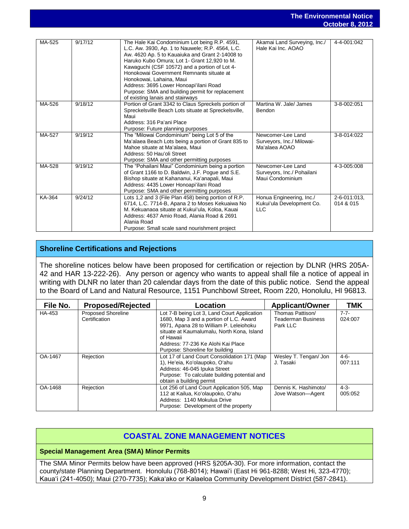|        |         |                                                                                                                                                                                                                                                                                                                                                                                                                                                                 |                                                                     | UCLODEI 0, ZUTZ           |
|--------|---------|-----------------------------------------------------------------------------------------------------------------------------------------------------------------------------------------------------------------------------------------------------------------------------------------------------------------------------------------------------------------------------------------------------------------------------------------------------------------|---------------------------------------------------------------------|---------------------------|
|        |         |                                                                                                                                                                                                                                                                                                                                                                                                                                                                 |                                                                     |                           |
| MA-525 | 9/17/12 | The Hale Kai Condominium Lot being R.P. 4591,<br>L.C. Aw. 3930, Ap. 1 to Nauwele; R.P. 4564, L.C.<br>Aw. 4620 Ap. 5 to Kauaiuka and Grant 2-14008 to<br>Haruko Kubo Omura; Lot 1- Grant 12,920 to M.<br>Kawaguchi (CSF 10572) and a portion of Lot 4-<br>Honokowai Government Remnants situate at<br>Honokowai, Lahaina, Maui<br>Address: 3695 Lower Honoapi'ilani Road<br>Purpose: SMA and building permit for replacement<br>of existing lanais and stairways | Akamai Land Surveying, Inc./<br>Hale Kai Inc. AOAO                  | 4-4-001:042               |
| MA-526 | 9/18/12 | Portion of Grant 3342 to Claus Spreckels portion of<br>Spreckelsville Beach Lots situate at Spreckelsville,<br>Maui<br>Address: 316 Pa'ani Place<br>Purpose: Future planning purposes                                                                                                                                                                                                                                                                           | Martina W. Jale/ James<br>Bendon                                    | 3-8-002:051               |
| MA-527 | 9/19/12 | The "Milowai Condominium" being Lot 5 of the<br>Ma'alaea Beach Lots being a portion of Grant 835 to<br>Mahoe situate at Ma'alaea, Maui<br>Address: 50 Hau'oli Street<br>Purpose: SMA and other permitting purposes                                                                                                                                                                                                                                              | Newcomer-Lee Land<br>Surveyors, Inc./ Milowai-<br>Ma'alaea AOAO     | 3-8-014:022               |
| MA-528 | 9/19/12 | The "Pohailani Maui" Condominium being a portion<br>of Grant 1166 to D. Baldwin, J.F. Poque and S.E.<br>Bishop situate at Kahananui, Ka'anapali, Maui<br>Address: 4435 Lower Honoapi'ilani Road<br>Purpose: SMA and other permitting purposes                                                                                                                                                                                                                   | Newcomer-Lee Land<br>Surveyors, Inc./ Pohailani<br>Maui Condominium | 4-3-005:008               |
| KA-364 | 9/24/12 | Lots 1,2 and 3 (File Plan 458) being portion of R.P.<br>6714, L.C. 7714-B, Apana 2 to Moses Kekuaiwa No<br>M. Kekuanaoa situate at Kukui'ula, Koloa, Kauai<br>Address: 4637 Amio Road, Alania Road & 2691<br>Alania Road<br>Purpose: Small scale sand nourishment project                                                                                                                                                                                       | Honua Engineering, Inc./<br>Kukui'ula Development Co.<br><b>LLC</b> | 2-6-011:013,<br>014 & 015 |

## **Shoreline Certifications and Rejections**

The shoreline notices below have been proposed for certification or rejection by DLNR (HRS 205A-42 and HAR 13-222-26). Any person or agency who wants to appeal shall file a notice of appeal in writing with DLNR no later than 20 calendar days from the date of this public notice. Send the appeal to the Board of Land and Natural Resource, 1151 Punchbowl Street, Room 220, Honolulu, HI 96813.

| File No. | <b>Proposed/Rejected</b>  | Location                                                                              | <b>Applicant/Owner</b>    | <b>TMK</b> |
|----------|---------------------------|---------------------------------------------------------------------------------------|---------------------------|------------|
| HA-453   | <b>Proposed Shoreline</b> | Lot 7-B being Lot 3, Land Court Application                                           | Thomas Pattison/          | $7 - 7 -$  |
|          | Certification             | 1680, Map 3 and a portion of L.C. Award                                               | <b>Teaderman Business</b> | 024:007    |
|          |                           | 9971, Apana 28 to William P. Leleiohoku<br>situate at Kaumalumalu, North Kona, Island | Park LLC                  |            |
|          |                           | of Hawaii                                                                             |                           |            |
|          |                           | Address: 77-236 Ke Alohi Kai Place                                                    |                           |            |
|          |                           | Purpose: Shoreline for building                                                       |                           |            |
| OA-1467  | Rejection                 | Lot 17 of Land Court Consolidation 171 (Map                                           | Wesley T. Tengan/ Jon     | $4-6-$     |
|          |                           | 1), He'eia, Ko'olaupoko, Oʻahu                                                        | J. Tasaki                 | 007:111    |
|          |                           | Address: 46-045 Ipuka Street                                                          |                           |            |
|          |                           | Purpose: To calculate building potential and<br>obtain a building permit              |                           |            |
| OA-1468  | Rejection                 | Lot 256 of Land Court Application 505, Map                                            | Dennis K. Hashimoto/      | $4-3-$     |
|          |                           | 112 at Kailua, Ko'olaupoko, O'ahu                                                     | Jove Watson-Agent         | 005:052    |
|          |                           | Address: 1140 Mokulua Drive                                                           |                           |            |
|          |                           | Purpose: Development of the property                                                  |                           |            |

## **COASTAL ZONE MANAGEMENT NOTICES**

## **Special Management Area (SMA) Minor Permits**

The SMA Minor Permits below have been approved (HRS §205A-30). For more information, contact the county/state Planning Department. Honolulu (768-8014); Hawai'i (East Hi 961-8288; West Hi, 323-4770); Kaua'i (241-4050); Maui (270-7735); Kaka'ako or Kalaeloa Community Development District (587-2841).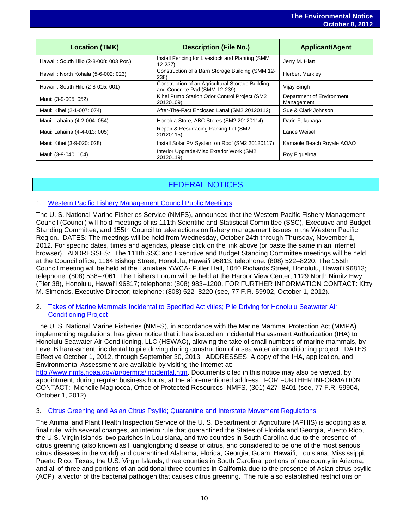|                                         |                                                                                   | <b>OCLODEL 0, ZUIZ</b>                  |
|-----------------------------------------|-----------------------------------------------------------------------------------|-----------------------------------------|
| <b>Location (TMK)</b>                   | <b>Description (File No.)</b>                                                     | <b>Applicant/Agent</b>                  |
| Hawai'i: South Hilo (2-8-008: 003 Por.) | Install Fencing for Livestock and Planting (SMM<br>$12 - 237$                     | Jerry M. Hiatt                          |
| Hawai'i: North Kohala (5-6-002: 023)    | Construction of a Barn Storage Building (SMM 12-<br>238)                          | <b>Herbert Markley</b>                  |
| Hawai'i: South Hilo (2-8-015: 001)      | Construction of an Agricultural Storage Building<br>and Concrete Pad (SMM 12-239) | Vijay Singh                             |
| Maui: (3-9-005: 052)                    | Kihei Pump Station Odor Control Project (SM2<br>20120109)                         | Department of Environment<br>Management |
| Maui: Kihei (2-1-007: 074)              | After-The-Fact Enclosed Lanai (SM2 20120112)                                      | Sue & Clark Johnson                     |
| Maui: Lahaina (4-2-004: 054)            | Honolua Store, ABC Stores (SM2 20120114)                                          | Darin Fukunaga                          |
| Maui: Lahaina (4-4-013: 005)            | Repair & Resurfacing Parking Lot (SM2<br>20120115)                                | Lance Weisel                            |
| Maui: Kihei (3-9-020: 028)              | Install Solar PV System on Roof (SM2 20120117)                                    | Kamaole Beach Royale AOAO               |
| Maui: (3-9-040: 104)                    | Interior Upgrade-Misc Exterior Work (SM2<br>20120119)                             | Roy Figueiroa                           |

## FEDERAL NOTICES

## 1. [Western Pacific Fishery Management](http://www.gpo.gov/fdsys/pkg/FR-2012-10-01/pdf/2012-23957.pdf) Council Public Meetings

The U. S. National Marine Fisheries Service (NMFS), announced that the Western Pacific Fishery Management Council (Council) will hold meetings of its 111th Scientific and Statistical Committee (SSC), Executive and Budget Standing Committee, and 155th Council to take actions on fishery management issues in the Western Pacific Region. DATES: The meetings will be held from Wednesday, October 24th through Thursday, November 1, 2012. For specific dates, times and agendas, please click on the link above (or paste the same in an internet browser). ADDRESSES: The 111th SSC and Executive and Budget Standing Committee meetings will be held at the Council office, 1164 Bishop Street, Honolulu, Hawai'i 96813; telephone: (808) 522–8220. The 155th Council meeting will be held at the Laniakea YWCA- Fuller Hall, 1040 Richards Street, Honolulu, Hawai'i 96813; telephone: (808) 538–7061. The Fishers Forum will be held at the Harbor View Center, 1129 North Nimitz Hwy (Pier 38), Honolulu, Hawai'i 96817; telephone: (808) 983–1200. FOR FURTHER INFORMATION CONTACT: Kitty M. Simonds, Executive Director; telephone: (808) 522–8220 (see, 77 F.R. 59902, October 1, 2012).

### 2. [Takes of Marine Mammals Incidental to Specified Activities; Pile](http://www.gpo.gov/fdsys/pkg/FR-2012-10-01/pdf/2012-24155.pdf) Driving for Honolulu Seawater Air [Conditioning Project](http://www.gpo.gov/fdsys/pkg/FR-2012-10-01/pdf/2012-24155.pdf)

The U. S. National Marine Fisheries (NMFS), in accordance with the Marine Mammal Protection Act (MMPA) implementing regulations, has given notice that it has issued an Incidental Harassment Authorization (IHA) to Honolulu Seawater Air Conditioning, LLC (HSWAC), allowing the take of small numbers of marine mammals, by Level B harassment, incidental to pile driving during construction of a sea water air conditioning project. DATES: Effective October 1, 2012, through September 30, 2013. ADDRESSES: A copy of the IHA, application, and Environmental Assessment are available by visiting the Internet at:

[http://www.nmfs.noaa.gov/pr/permits/incidental.htm.](http://www.nmfs.noaa.gov/pr/permits/incidental.htm) Documents cited in this notice may also be viewed, by appointment, during regular business hours, at the aforementioned address. FOR FURTHER INFORMATION CONTACT: Michelle Magliocca, Office of Protected Resources, NMFS, (301) 427–8401 (see, 77 F.R. 59904, October 1, 2012).

#### 3. [Citrus Greening and Asian Citrus Psyllid; Quarantine and Interstate Movement Regulations](http://www.gpo.gov/fdsys/pkg/FR-2012-10-01/pdf/2012-24112.pdf)

The Animal and Plant Health Inspection Service of the U. S. Department of Agriculture (APHIS) is adopting as a final rule, with several changes, an interim rule that quarantined the States of Florida and Georgia, Puerto Rico, the U.S. Virgin Islands, two parishes in Louisiana, and two counties in South Carolina due to the presence of citrus greening (also known as Huanglongbing disease of citrus, and considered to be one of the most serious citrus diseases in the world) and quarantined Alabama, Florida, Georgia, Guam, Hawai'i, Louisiana, Mississippi, Puerto Rico, Texas, the U.S. Virgin Islands, three counties in South Carolina, portions of one county in Arizona, and all of three and portions of an additional three counties in California due to the presence of Asian citrus psyllid (ACP), a vector of the bacterial pathogen that causes citrus greening. The rule also established restrictions on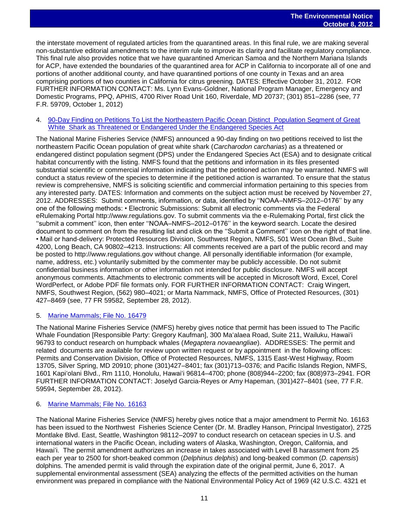the interstate movement of regulated articles from the quarantined areas. In this final rule, we are making several non-substantive editorial amendments to the interim rule to improve its clarity and facilitate regulatory compliance. This final rule also provides notice that we have quarantined American Samoa and the Northern Mariana Islands for ACP, have extended the boundaries of the quarantined area for ACP in California to incorporate all of one and portions of another additional county, and have quarantined portions of one county in Texas and an area comprising portions of two counties in California for citrus greening. DATES: Effective October 31, 2012. FOR FURTHER INFORMATION CONTACT: Ms. Lynn Evans-Goldner, National Program Manager, Emergency and Domestic Programs, PPQ, APHIS, 4700 River Road Unit 160, Riverdale, MD 20737; (301) 851–2286 (see, 77 F.R. 59709, October 1, 2012)

#### 4. [90-Day Finding on Petitions To List the Northeastern Pacific Ocean Distinct Population Segment of Great](http://www.gpo.gov/fdsys/pkg/FR-2012-09-28/pdf/2012-23963.pdf)  [White Shark as Threatened or Endangered Under the Endangered Species Act](http://www.gpo.gov/fdsys/pkg/FR-2012-09-28/pdf/2012-23963.pdf)

The National Marine Fisheries Service (NMFS) announced a 90-day finding on two petitions received to list the northeastern Pacific Ocean population of great white shark (*Carcharodon carcharias*) as a threatened or endangered distinct population segment (DPS) under the Endangered Species Act (ESA) and to designate critical habitat concurrently with the listing. NMFS found that the petitions and information in its files presented substantial scientific or commercial information indicating that the petitioned action may be warranted. NMFS will conduct a status review of the species to determine if the petitioned action is warranted. To ensure that the status review is comprehensive, NMFS is soliciting scientific and commercial information pertaining to this species from any interested party. DATES: Information and comments on the subject action must be received by November 27, 2012. ADDRESSES: Submit comments, information, or data, identified by ''NOAA–NMFS–2012–0176'' by any one of the following methods: • Electronic Submissions: Submit all electronic comments via the Federal eRulemaking Portal http://www.regulations.gov. To submit comments via the e-Rulemaking Portal, first click the ''submit a comment'' icon, then enter ''NOAA–NMFS–2012–0176'' in the keyword search. Locate the desired document to comment on from the resulting list and click on the ''Submit a Comment'' icon on the right of that line. • Mail or hand-delivery: Protected Resources Division, Southwest Region, NMFS, 501 West Ocean Blvd., Suite 4200, Long Beach, CA 90802–4213. Instructions: All comments received are a part of the public record and may be posted to http://www.regulations.gov without change. All personally identifiable information (for example, name, address, etc.) voluntarily submitted by the commenter may be publicly accessible. Do not submit confidential business information or other information not intended for public disclosure. NMFS will accept anonymous comments. Attachments to electronic comments will be accepted in Microsoft Word, Excel, Corel WordPerfect, or Adobe PDF file formats only. FOR FURTHER INFORMATION CONTACT: Craig Wingert, NMFS, Southwest Region, (562) 980–4021; or Marta Nammack, NMFS, Office of Protected Resources, (301) 427–8469 (see, 77 FR 59582, September 28, 2012).

## 5. [Marine Mammals; File No. 16479](http://www.gpo.gov/fdsys/pkg/FR-2012-09-28/pdf/2012-23961.pdf)

The National Marine Fisheries Service (NMFS) hereby gives notice that permit has been issued to The Pacific Whale Foundation [Responsible Party: Gregory Kaufman], 300 Ma'alaea Road, Suite 211, Wailuku, Hawai'i 96793 to conduct research on humpback whales (*Megaptera novaeangliae*). ADDRESSES: The permit and related documents are available for review upon written request or by appointment in the following offices: Permits and Conservation Division, Office of Protected Resources, NMFS, 1315 East-West Highway, Room 13705, Silver Spring, MD 20910; phone (301)427–8401; fax (301)713–0376; and Pacific Islands Region, NMFS, 1601 Kapi'olani Blvd., Rm 1110, Honolulu, Hawai'i 96814–4700; phone (808)944–2200; fax (808)973–2941. FOR FURTHER INFORMATION CONTACT: Joselyd Garcia-Reyes or Amy Hapeman, (301)427–8401 (see, 77 F.R. 59594, September 28, 2012).

#### 6. [Marine Mammals; File No. 16163](http://www.gpo.gov/fdsys/pkg/FR-2012-09-28/pdf/2012-23964.pdf)

The National Marine Fisheries Service (NMFS) hereby gives notice that a major amendment to Permit No. 16163 has been issued to the Northwest Fisheries Science Center (Dr. M. Bradley Hanson, Principal Investigator), 2725 Montlake Blvd. East, Seattle, Washington 98112–2097 to conduct research on cetacean species in U.S. and international waters in the Pacific Ocean, including waters of Alaska, Washington, Oregon, California, and Hawai'i. The permit amendment authorizes an increase in takes associated with Level B harassment from 25 each per year to 2500 for short-beaked common (*Delphinus delphis*) and long-beaked common (*D. capensis*) dolphins. The amended permit is valid through the expiration date of the original permit, June 6, 2017. A supplemental environmental assessment (SEA) analyzing the effects of the permitted activities on the human environment was prepared in compliance with the National Environmental Policy Act of 1969 (42 U.S.C. 4321 et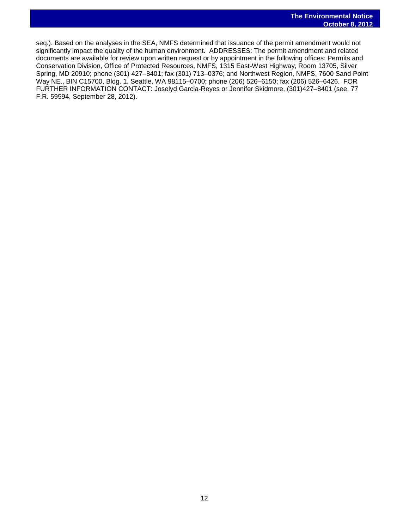seq.). Based on the analyses in the SEA, NMFS determined that issuance of the permit amendment would not significantly impact the quality of the human environment. ADDRESSES: The permit amendment and related documents are available for review upon written request or by appointment in the following offices: Permits and Conservation Division, Office of Protected Resources, NMFS, 1315 East-West Highway, Room 13705, Silver Spring, MD 20910; phone (301) 427–8401; fax (301) 713–0376; and Northwest Region, NMFS, 7600 Sand Point Way NE., BIN C15700, Bldg. 1, Seattle, WA 98115–0700; phone (206) 526–6150; fax (206) 526–6426. FOR FURTHER INFORMATION CONTACT: Joselyd Garcia-Reyes or Jennifer Skidmore, (301)427–8401 (see, 77 F.R. 59594, September 28, 2012).